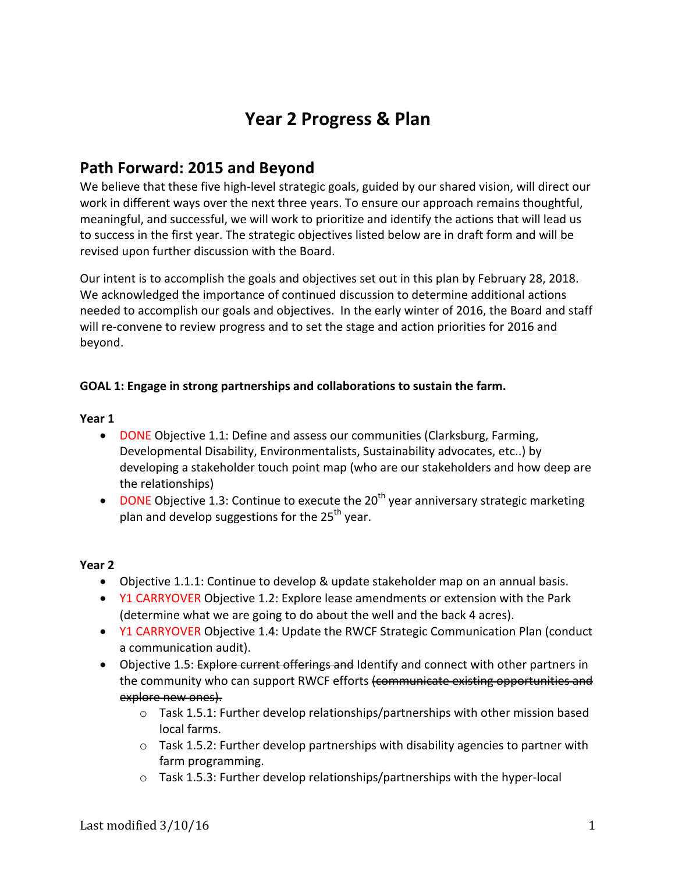# Year 2 Progress & Plan

# **Path Forward: 2015 and Beyond**

We believe that these five high-level strategic goals, guided by our shared vision, will direct our work in different ways over the next three years. To ensure our approach remains thoughtful, meaningful, and successful, we will work to prioritize and identify the actions that will lead us to success in the first year. The strategic objectives listed below are in draft form and will be revised upon further discussion with the Board.

Our intent is to accomplish the goals and objectives set out in this plan by February 28, 2018. We acknowledged the importance of continued discussion to determine additional actions needed to accomplish our goals and objectives. In the early winter of 2016, the Board and staff will re-convene to review progress and to set the stage and action priorities for 2016 and beyond.

#### GOAL 1: Engage in strong partnerships and collaborations to sustain the farm.

#### **Year 1**

- DONE Objective 1.1: Define and assess our communities (Clarksburg, Farming, Developmental Disability, Environmentalists, Sustainability advocates, etc..) by developing a stakeholder touch point map (who are our stakeholders and how deep are the relationships)
- DONE Objective 1.3: Continue to execute the  $20^{th}$  year anniversary strategic marketing plan and develop suggestions for the  $25<sup>th</sup>$  year.

- Objective 1.1.1: Continue to develop & update stakeholder map on an annual basis.
- Y1 CARRYOVER Objective 1.2: Explore lease amendments or extension with the Park (determine what we are going to do about the well and the back 4 acres).
- Y1 CARRYOVER Objective 1.4: Update the RWCF Strategic Communication Plan (conduct a communication audit).
- Objective 1.5: Explore current offerings and Identify and connect with other partners in the community who can support RWCF efforts (communicate existing opportunities and explore new ones).
	- $\circ$  Task 1.5.1: Further develop relationships/partnerships with other mission based local farms.
	- $\circ$  Task 1.5.2: Further develop partnerships with disability agencies to partner with farm programming.
	- $\circ$  Task 1.5.3: Further develop relationships/partnerships with the hyper-local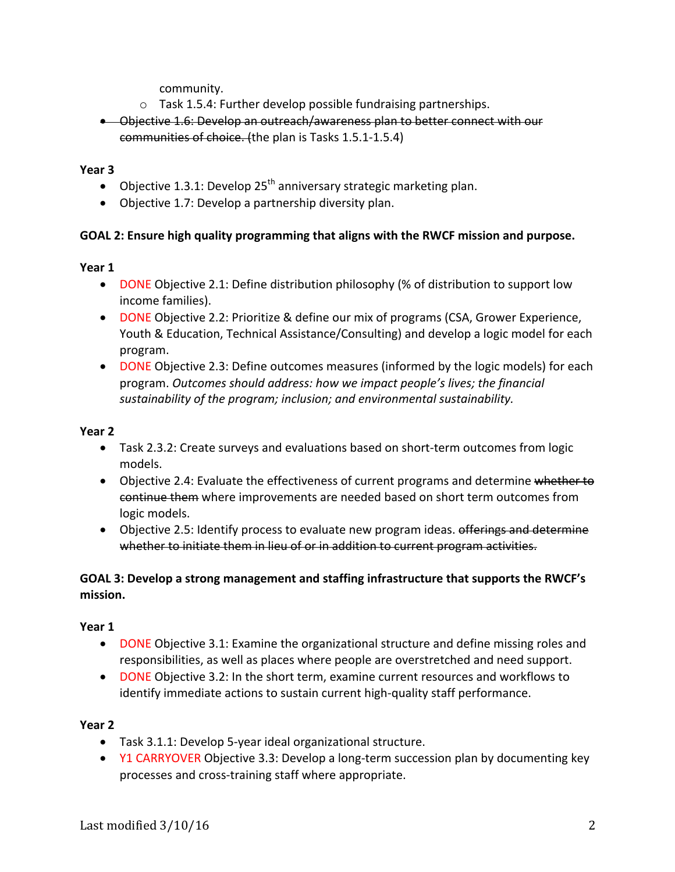community.

- $\circ$  Task 1.5.4: Further develop possible fundraising partnerships.
- Objective 1.6: Develop an outreach/awareness plan to better connect with our communities of choice. (the plan is Tasks 1.5.1-1.5.4)

**Year 3**

- Objective 1.3.1: Develop  $25<sup>th</sup>$  anniversary strategic marketing plan.
- Objective 1.7: Develop a partnership diversity plan.

#### **GOAL 2: Ensure high quality programming that aligns with the RWCF mission and purpose.**

**Year 1**

- DONE Objective 2.1: Define distribution philosophy (% of distribution to support low income families).
- DONE Objective 2.2: Prioritize & define our mix of programs (CSA, Grower Experience, Youth & Education, Technical Assistance/Consulting) and develop a logic model for each program.
- DONE Objective 2.3: Define outcomes measures (informed by the logic models) for each program. Outcomes should address: how we impact people's lives; the financial sustainability of the program; inclusion; and environmental sustainability.

#### **Year 2**

- Task 2.3.2: Create surveys and evaluations based on short-term outcomes from logic models.
- Objective 2.4: Evaluate the effectiveness of current programs and determine whether to continue them where improvements are needed based on short term outcomes from logic models.
- Objective 2.5: Identify process to evaluate new program ideas. offerings and determine whether to initiate them in lieu of or in addition to current program activities.

#### GOAL 3: Develop a strong management and staffing infrastructure that supports the RWCF's **mission.**

#### **Year 1**

- DONE Objective 3.1: Examine the organizational structure and define missing roles and responsibilities, as well as places where people are overstretched and need support.
- DONE Objective 3.2: In the short term, examine current resources and workflows to identify immediate actions to sustain current high-quality staff performance.

- Task 3.1.1: Develop 5-year ideal organizational structure.
- Y1 CARRYOVER Objective 3.3: Develop a long-term succession plan by documenting key processes and cross-training staff where appropriate.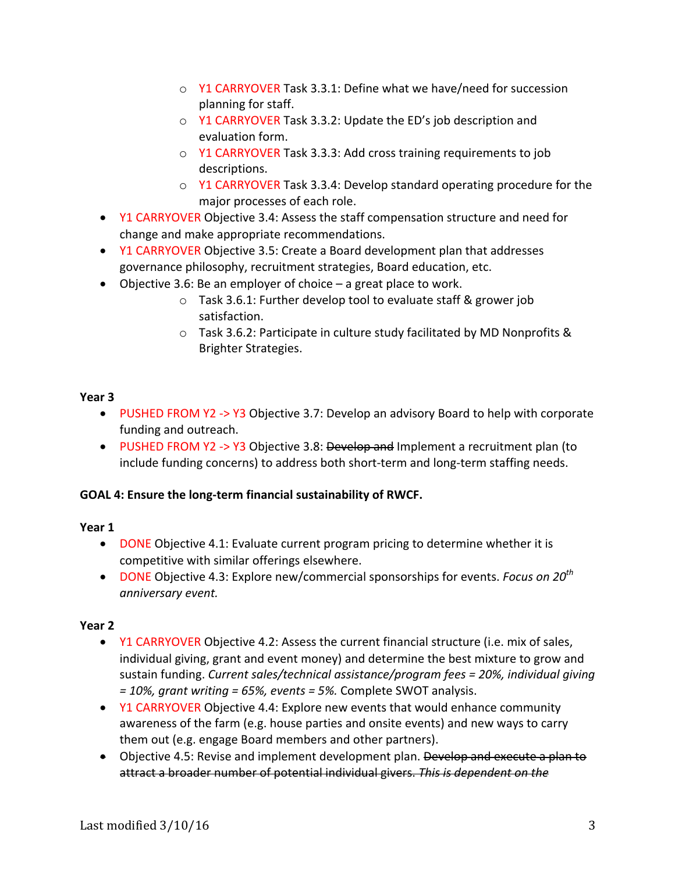- $\circ$  Y1 CARRYOVER Task 3.3.1: Define what we have/need for succession planning for staff.
- $\circ$  Y1 CARRYOVER Task 3.3.2: Update the ED's job description and evaluation form.
- $\circ$  Y1 CARRYOVER Task 3.3.3: Add cross training requirements to job descriptions.
- $\circ$  Y1 CARRYOVER Task 3.3.4: Develop standard operating procedure for the major processes of each role.
- Y1 CARRYOVER Objective 3.4: Assess the staff compensation structure and need for change and make appropriate recommendations.
- Y1 CARRYOVER Objective 3.5: Create a Board development plan that addresses governance philosophy, recruitment strategies, Board education, etc.
- Objective 3.6: Be an employer of choice  $-$  a great place to work.
	- $\circ$  Task 3.6.1: Further develop tool to evaluate staff & grower job satisfaction.
	- $\circ$  Task 3.6.2: Participate in culture study facilitated by MD Nonprofits & Brighter Strategies.

#### **Year 3**

- PUSHED FROM Y2 -> Y3 Objective 3.7: Develop an advisory Board to help with corporate funding and outreach.
- PUSHED FROM Y2 -> Y3 Objective 3.8: Develop and Implement a recruitment plan (to include funding concerns) to address both short-term and long-term staffing needs.

#### **GOAL 4: Ensure the long-term financial sustainability of RWCF.**

#### **Year 1**

- DONE Objective 4.1: Evaluate current program pricing to determine whether it is competitive with similar offerings elsewhere.
- DONE Objective 4.3: Explore new/commercial sponsorships for events. *Focus on* 20<sup>th</sup> *anniversary event.*

- Y1 CARRYOVER Objective 4.2: Assess the current financial structure (i.e. mix of sales, individual giving, grant and event money) and determine the best mixture to grow and sustain funding. *Current sales/technical assistance/program fees* = 20%, *individual giving* = 10%, grant writing = 65%, events = 5%. Complete SWOT analysis.
- Y1 CARRYOVER Objective 4.4: Explore new events that would enhance community awareness of the farm (e.g. house parties and onsite events) and new ways to carry them out (e.g. engage Board members and other partners).
- Objective 4.5: Revise and implement development plan. Develop and execute a plan to attract a broader number of potential individual givers. This is dependent on the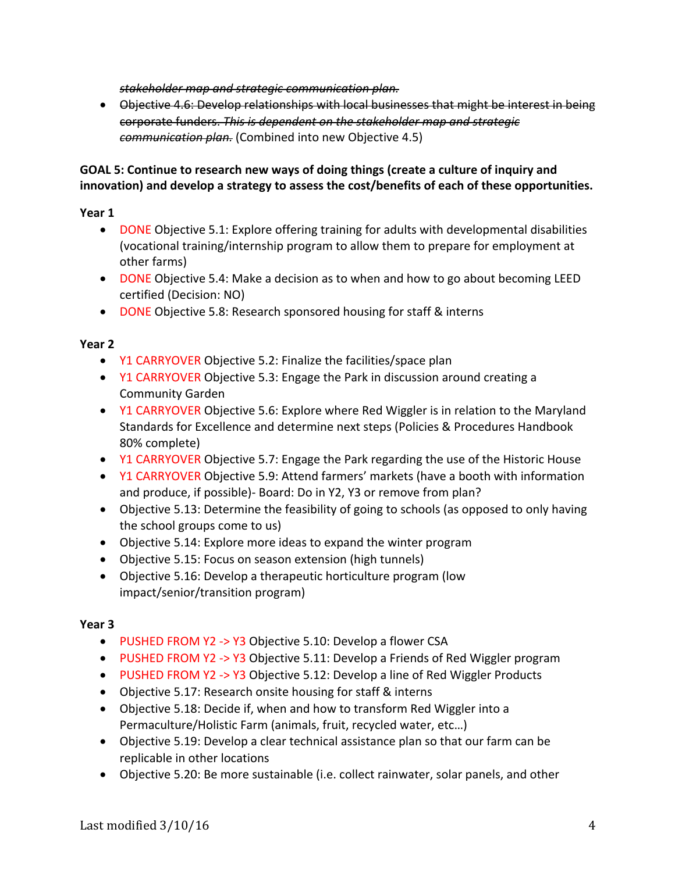stakeholder map and strategic communication plan.

• Objective 4.6: Develop relationships with local businesses that might be interest in being corporate funders. This is dependent on the stakeholder map and strategic *communication plan.* (Combined into new Objective 4.5)

#### GOAL 5: Continue to research new ways of doing things (create a culture of inquiry and innovation) and develop a strategy to assess the cost/benefits of each of these opportunities.

#### **Year 1**

- DONE Objective 5.1: Explore offering training for adults with developmental disabilities (vocational training/internship program to allow them to prepare for employment at other farms)
- DONE Objective 5.4: Make a decision as to when and how to go about becoming LEED certified (Decision: NO)
- DONE Objective 5.8: Research sponsored housing for staff & interns

### **Year 2**

- Y1 CARRYOVER Objective 5.2: Finalize the facilities/space plan
- Y1 CARRYOVER Objective 5.3: Engage the Park in discussion around creating a Community Garden
- Y1 CARRYOVER Objective 5.6: Explore where Red Wiggler is in relation to the Maryland Standards for Excellence and determine next steps (Policies & Procedures Handbook 80% complete)
- Y1 CARRYOVER Objective 5.7: Engage the Park regarding the use of the Historic House
- Y1 CARRYOVER Objective 5.9: Attend farmers' markets (have a booth with information and produce, if possible)- Board: Do in Y2, Y3 or remove from plan?
- Objective 5.13: Determine the feasibility of going to schools (as opposed to only having the school groups come to us)
- Objective 5.14: Explore more ideas to expand the winter program
- Objective 5.15: Focus on season extension (high tunnels)
- Objective 5.16: Develop a therapeutic horticulture program (low impact/senior/transition program)

- PUSHED FROM Y2 -> Y3 Objective 5.10: Develop a flower CSA
- PUSHED FROM Y2 -> Y3 Objective 5.11: Develop a Friends of Red Wiggler program
- PUSHED FROM Y2 -> Y3 Objective 5.12: Develop a line of Red Wiggler Products
- Objective 5.17: Research onsite housing for staff & interns
- Objective 5.18: Decide if, when and how to transform Red Wiggler into a Permaculture/Holistic Farm (animals, fruit, recycled water, etc...)
- Objective 5.19: Develop a clear technical assistance plan so that our farm can be replicable in other locations
- Objective 5.20: Be more sustainable (i.e. collect rainwater, solar panels, and other